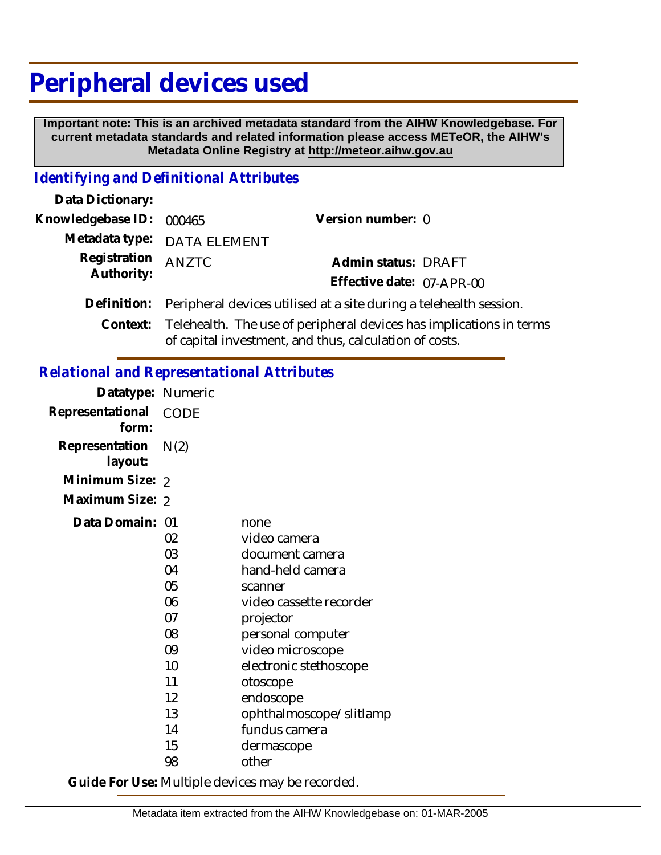# **Peripheral devices used**

 **Important note: This is an archived metadata standard from the AIHW Knowledgebase. For current metadata standards and related information please access METeOR, the AIHW's Metadata Online Registry at http://meteor.aihw.gov.au**

### *Identifying and Definitional Attributes*

| Data Dictionary:            |                                                                              |                           |  |
|-----------------------------|------------------------------------------------------------------------------|---------------------------|--|
| Knowledgebase ID:           | 000465                                                                       | Version number: 0         |  |
| Metadata type: DATA ELEMENT |                                                                              |                           |  |
| Registration                | ANZTC                                                                        | Admin status: DRAFT       |  |
| Authority:                  |                                                                              | Effective date: 07-APR-00 |  |
| Definition:                 | Peripheral devices utilised at a site during a telehealth session.           |                           |  |
|                             | Context: Telehealth. The use of peripheral devices has implications in terms |                           |  |
|                             |                                                                              |                           |  |

# of capital investment, and thus, calculation of costs.

## *Relational and Representational Attributes*

| Datatype: Numeric         |                                                                                              |                                                                                                                                                                                                                                                                               |
|---------------------------|----------------------------------------------------------------------------------------------|-------------------------------------------------------------------------------------------------------------------------------------------------------------------------------------------------------------------------------------------------------------------------------|
| Representational<br>form: | <b>CODE</b>                                                                                  |                                                                                                                                                                                                                                                                               |
| Representation<br>layout: | N(2)                                                                                         |                                                                                                                                                                                                                                                                               |
| Minimum Size: 2           |                                                                                              |                                                                                                                                                                                                                                                                               |
| Maximum Size: 2           |                                                                                              |                                                                                                                                                                                                                                                                               |
| Data Domain:              | 01<br>02<br>03<br>04<br>05<br>06<br>07<br>08<br>09<br>10<br>11<br>12<br>13<br>14<br>15<br>98 | none<br>video camera<br>document camera<br>hand-held camera<br>scanner<br>video cassette recorder<br>projector<br>personal computer<br>video microscope<br>electronic stethoscope<br>otoscope<br>endoscope<br>ophthalmoscope/slitlamp<br>fundus camera<br>dermascope<br>other |

**Guide For Use:** Multiple devices may be recorded.